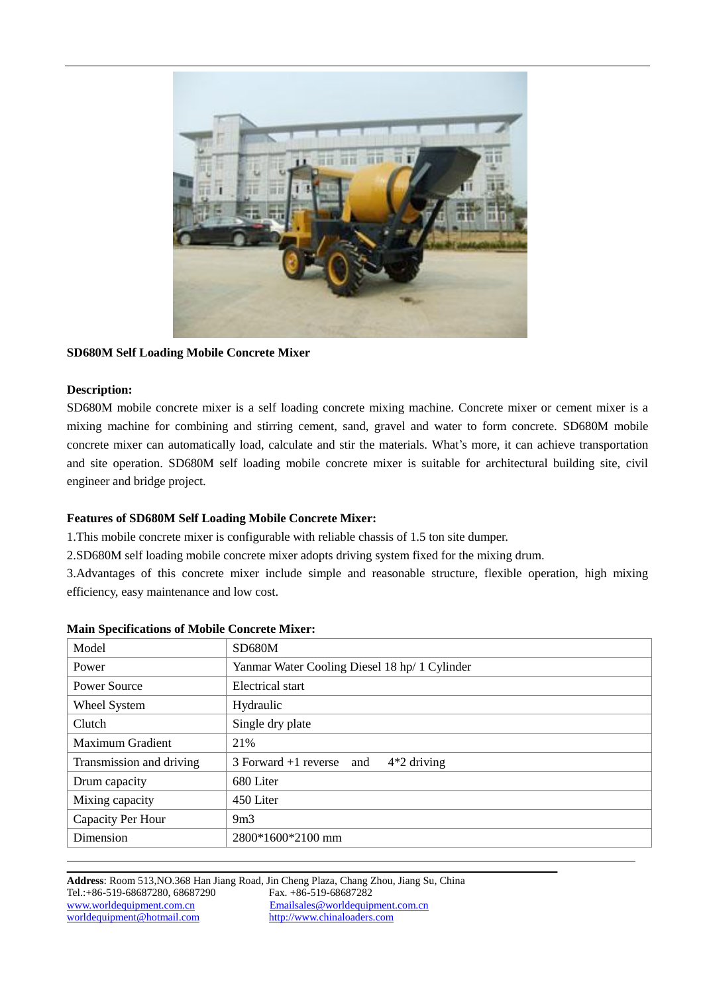

# **SD680M Self Loading Mobile Concrete Mixer**

## **Description:**

 $\overline{a}$ 

SD680M mobile concrete mixer is a self loading concrete mixing machine. Concrete mixer or cement mixer is a mixing machine for combining and stirring cement, sand, gravel and water to form concrete. SD680M mobile concrete mixer can automatically load, calculate and stir the materials. What's more, it can achieve transportation and site operation. SD680M self loading mobile concrete mixer is suitable for architectural building site, civil engineer and bridge project.

## **Features of SD680M Self Loading Mobile Concrete Mixer:**

1.This mobile concrete mixer is configurable with reliable chassis of 1.5 ton site dumper.

2.SD680M self loading mobile concrete mixer adopts driving system fixed for the mixing drum.

3.Advantages of this concrete mixer include simple and reasonable structure, flexible operation, high mixing efficiency, easy maintenance and low cost.

| Model                    | SD680M                                        |  |
|--------------------------|-----------------------------------------------|--|
| Power                    | Yanmar Water Cooling Diesel 18 hp/ 1 Cylinder |  |
| <b>Power Source</b>      | Electrical start                              |  |
| Wheel System             | Hydraulic                                     |  |
| Clutch                   | Single dry plate                              |  |
| Maximum Gradient         | 21%                                           |  |
| Transmission and driving | $3$ Forward +1 reverse and<br>$4*2$ driving   |  |
| Drum capacity            | 680 Liter                                     |  |
| Mixing capacity          | 450 Liter                                     |  |
| Capacity Per Hour        | 9m3                                           |  |
| Dimension                | 2800*1600*2100 mm                             |  |

#### **Main Specifications of Mobile Concrete Mixer:**